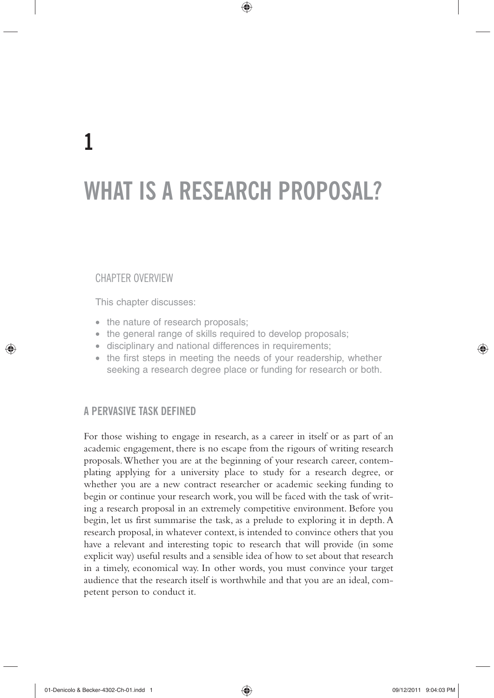⊕

## CHAPTER OVERVIEW

⊕

This chapter discusses:

- $\bullet$  the nature of research proposals;
- the general range of skills required to develop proposals;
- disciplinary and national differences in requirements;
- the first steps in meeting the needs of your readership, whether seeking a research degree place or funding for research or both.

# **A PERVASIVE TASK DEFINED**

For those wishing to engage in research, as a career in itself or as part of an academic engagement, there is no escape from the rigours of writing research proposals. Whether you are at the beginning of your research career, contemplating applying for a university place to study for a research degree, or whether you are a new contract researcher or academic seeking funding to begin or continue your research work, you will be faced with the task of writing a research proposal in an extremely competitive environment. Before you begin, let us first summarise the task, as a prelude to exploring it in depth. A research proposal, in whatever context, is intended to convince others that you have a relevant and interesting topic to research that will provide (in some explicit way) useful results and a sensible idea of how to set about that research in a timely, economical way. In other words, you must convince your target audience that the research itself is worthwhile and that you are an ideal, competent person to conduct it.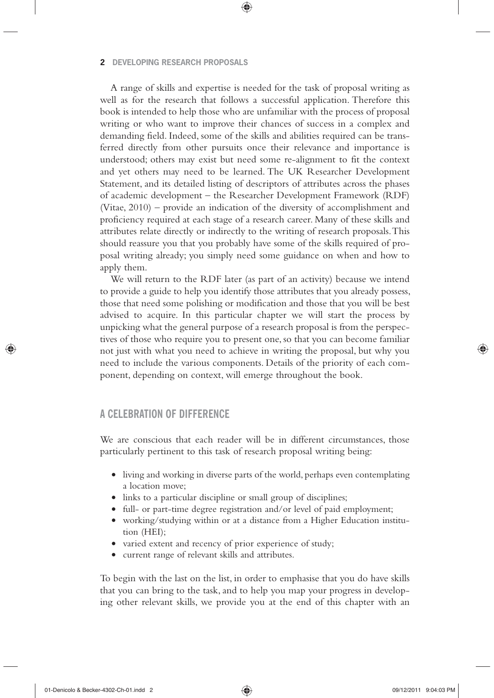#### **2 DEVELOPING RESEARCH PROPOSALS**

A range of skills and expertise is needed for the task of proposal writing as well as for the research that follows a successful application. Therefore this book is intended to help those who are unfamiliar with the process of proposal writing or who want to improve their chances of success in a complex and demanding field. Indeed, some of the skills and abilities required can be transferred directly from other pursuits once their relevance and importance is understood; others may exist but need some re-alignment to fit the context and yet others may need to be learned. The UK Researcher Development Statement, and its detailed listing of descriptors of attributes across the phases of academic development – the Researcher Development Framework (RDF) (Vitae, 2010) – provide an indication of the diversity of accomplishment and proficiency required at each stage of a research career. Many of these skills and attributes relate directly or indirectly to the writing of research proposals. This should reassure you that you probably have some of the skills required of proposal writing already; you simply need some guidance on when and how to apply them.

❀

We will return to the RDF later (as part of an activity) because we intend to provide a guide to help you identify those attributes that you already possess, those that need some polishing or modification and those that you will be best advised to acquire. In this particular chapter we will start the process by unpicking what the general purpose of a research proposal is from the perspectives of those who require you to present one, so that you can become familiar not just with what you need to achieve in writing the proposal, but why you need to include the various components. Details of the priority of each component, depending on context, will emerge throughout the book.

# **A CELEBRATION OF DIFFERENCE**

We are conscious that each reader will be in different circumstances, those particularly pertinent to this task of research proposal writing being:

- living and working in diverse parts of the world, perhaps even contemplating a location move;
- links to a particular discipline or small group of disciplines;
- full- or part-time degree registration and/or level of paid employment;
- working/studying within or at a distance from a Higher Education institution (HEI);
- varied extent and recency of prior experience of study;
- current range of relevant skills and attributes.

To begin with the last on the list, in order to emphasise that you do have skills that you can bring to the task, and to help you map your progress in developing other relevant skills, we provide you at the end of this chapter with an

↔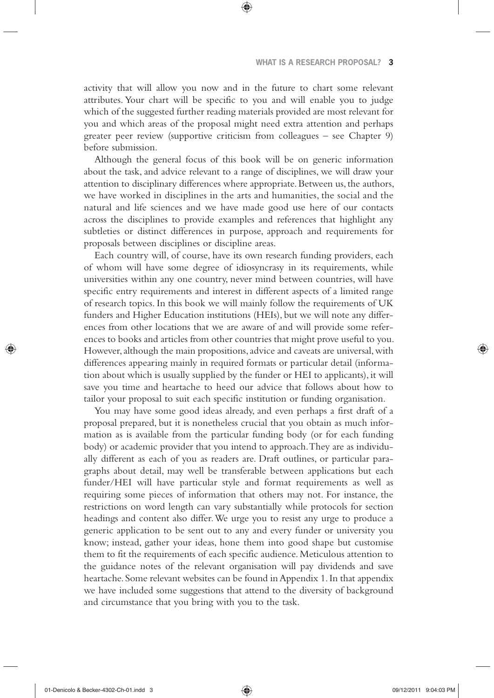activity that will allow you now and in the future to chart some relevant attributes. Your chart will be specific to you and will enable you to judge which of the suggested further reading materials provided are most relevant for you and which areas of the proposal might need extra attention and perhaps greater peer review (supportive criticism from colleagues – see Chapter 9) before submission.

❀

Although the general focus of this book will be on generic information about the task, and advice relevant to a range of disciplines, we will draw your attention to disciplinary differences where appropriate. Between us, the authors, we have worked in disciplines in the arts and humanities, the social and the natural and life sciences and we have made good use here of our contacts across the disciplines to provide examples and references that highlight any subtleties or distinct differences in purpose, approach and requirements for proposals between disciplines or discipline areas.

Each country will, of course, have its own research funding providers, each of whom will have some degree of idiosyncrasy in its requirements, while universities within any one country, never mind between countries, will have specific entry requirements and interest in different aspects of a limited range of research topics. In this book we will mainly follow the requirements of UK funders and Higher Education institutions (HEIs), but we will note any differences from other locations that we are aware of and will provide some references to books and articles from other countries that might prove useful to you. However, although the main propositions, advice and caveats are universal, with differences appearing mainly in required formats or particular detail (information about which is usually supplied by the funder or HEI to applicants), it will save you time and heartache to heed our advice that follows about how to tailor your proposal to suit each specific institution or funding organisation.

You may have some good ideas already, and even perhaps a first draft of a proposal prepared, but it is nonetheless crucial that you obtain as much information as is available from the particular funding body (or for each funding body) or academic provider that you intend to approach. They are as individually different as each of you as readers are. Draft outlines, or particular paragraphs about detail, may well be transferable between applications but each funder/HEI will have particular style and format requirements as well as requiring some pieces of information that others may not. For instance, the restrictions on word length can vary substantially while protocols for section headings and content also differ. We urge you to resist any urge to produce a generic application to be sent out to any and every funder or university you know; instead, gather your ideas, hone them into good shape but customise them to fit the requirements of each specific audience. Meticulous attention to the guidance notes of the relevant organisation will pay dividends and save heartache. Some relevant websites can be found in Appendix 1. In that appendix we have included some suggestions that attend to the diversity of background and circumstance that you bring with you to the task.

↔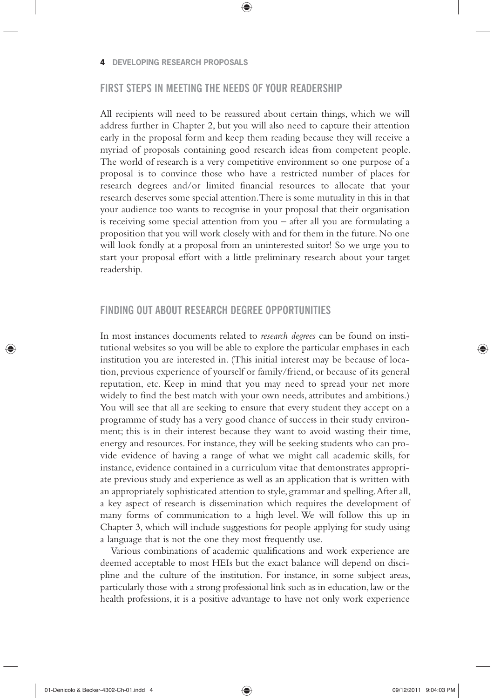#### **4 DEVELOPING RESEARCH PROPOSALS**

# **FIRST STEPS IN MEETING THE NEEDS OF YOUR READERSHIP**

❀

All recipients will need to be reassured about certain things, which we will address further in Chapter 2, but you will also need to capture their attention early in the proposal form and keep them reading because they will receive a myriad of proposals containing good research ideas from competent people. The world of research is a very competitive environment so one purpose of a proposal is to convince those who have a restricted number of places for research degrees and/or limited financial resources to allocate that your research deserves some special attention. There is some mutuality in this in that your audience too wants to recognise in your proposal that their organisation is receiving some special attention from you – after all you are formulating a proposition that you will work closely with and for them in the future. No one will look fondly at a proposal from an uninterested suitor! So we urge you to start your proposal effort with a little preliminary research about your target readership.

## **FINDING OUT ABOUT RESEARCH DEGREE OPPORTUNITIES**

In most instances documents related to *research degrees* can be found on institutional websites so you will be able to explore the particular emphases in each institution you are interested in. (This initial interest may be because of location, previous experience of yourself or family/friend, or because of its general reputation, etc. Keep in mind that you may need to spread your net more widely to find the best match with your own needs, attributes and ambitions.) You will see that all are seeking to ensure that every student they accept on a programme of study has a very good chance of success in their study environment; this is in their interest because they want to avoid wasting their time, energy and resources. For instance, they will be seeking students who can provide evidence of having a range of what we might call academic skills, for instance, evidence contained in a curriculum vitae that demonstrates appropriate previous study and experience as well as an application that is written with an appropriately sophisticated attention to style, grammar and spelling. After all, a key aspect of research is dissemination which requires the development of many forms of communication to a high level. We will follow this up in Chapter 3, which will include suggestions for people applying for study using a language that is not the one they most frequently use.

Various combinations of academic qualifications and work experience are deemed acceptable to most HEIs but the exact balance will depend on discipline and the culture of the institution. For instance, in some subject areas, particularly those with a strong professional link such as in education, law or the health professions, it is a positive advantage to have not only work experience

↔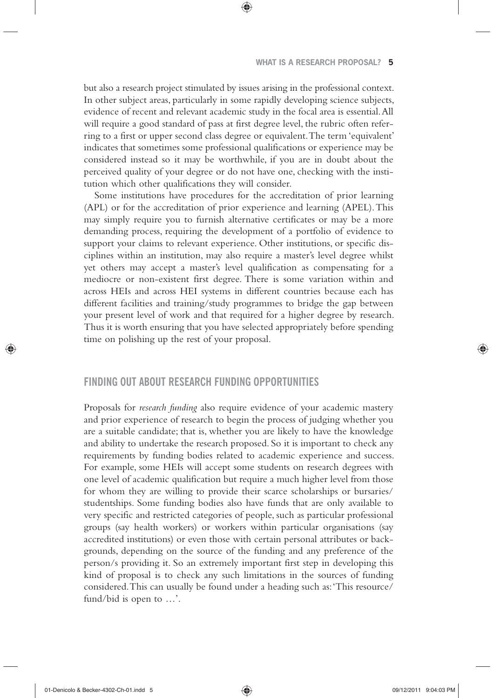but also a research project stimulated by issues arising in the professional context. In other subject areas, particularly in some rapidly developing science subjects, evidence of recent and relevant academic study in the focal area is essential. All will require a good standard of pass at first degree level, the rubric often referring to a first or upper second class degree or equivalent. The term 'equivalent' indicates that sometimes some professional qualifications or experience may be considered instead so it may be worthwhile, if you are in doubt about the perceived quality of your degree or do not have one, checking with the institution which other qualifications they will consider.

❀

Some institutions have procedures for the accreditation of prior learning (APL) or for the accreditation of prior experience and learning (APEL). This may simply require you to furnish alternative certificates or may be a more demanding process, requiring the development of a portfolio of evidence to support your claims to relevant experience. Other institutions, or specific disciplines within an institution, may also require a master's level degree whilst yet others may accept a master's level qualification as compensating for a mediocre or non-existent first degree. There is some variation within and across HEIs and across HEI systems in different countries because each has different facilities and training/study programmes to bridge the gap between your present level of work and that required for a higher degree by research. Thus it is worth ensuring that you have selected appropriately before spending time on polishing up the rest of your proposal.

## **FINDING OUT ABOUT RESEARCH FUNDING OPPORTUNITIES**

Proposals for *research funding* also require evidence of your academic mastery and prior experience of research to begin the process of judging whether you are a suitable candidate; that is, whether you are likely to have the knowledge and ability to undertake the research proposed. So it is important to check any requirements by funding bodies related to academic experience and success. For example, some HEIs will accept some students on research degrees with one level of academic qualification but require a much higher level from those for whom they are willing to provide their scarce scholarships or bursaries/ studentships. Some funding bodies also have funds that are only available to very specific and restricted categories of people, such as particular professional groups (say health workers) or workers within particular organisations (say accredited institutions) or even those with certain personal attributes or backgrounds, depending on the source of the funding and any preference of the person/s providing it. So an extremely important first step in developing this kind of proposal is to check any such limitations in the sources of funding considered. This can usually be found under a heading such as: 'This resource/ fund/bid is open to …'.

◈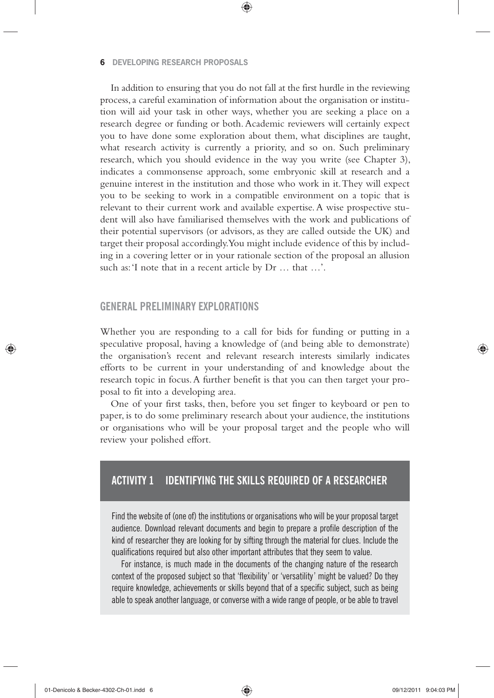#### **6 DEVELOPING RESEARCH PROPOSALS**

In addition to ensuring that you do not fall at the first hurdle in the reviewing process, a careful examination of information about the organisation or institution will aid your task in other ways, whether you are seeking a place on a research degree or funding or both. Academic reviewers will certainly expect you to have done some exploration about them, what disciplines are taught, what research activity is currently a priority, and so on. Such preliminary research, which you should evidence in the way you write (see Chapter 3), indicates a commonsense approach, some embryonic skill at research and a genuine interest in the institution and those who work in it. They will expect you to be seeking to work in a compatible environment on a topic that is relevant to their current work and available expertise. A wise prospective student will also have familiarised themselves with the work and publications of their potential supervisors (or advisors, as they are called outside the UK) and target their proposal accordingly. You might include evidence of this by including in a covering letter or in your rationale section of the proposal an allusion such as: 'I note that in a recent article by Dr … that …'.

❀

## **GENERAL PRELIMINARY EXPLORATIONS**

Whether you are responding to a call for bids for funding or putting in a speculative proposal, having a knowledge of (and being able to demonstrate) the organisation's recent and relevant research interests similarly indicates efforts to be current in your understanding of and knowledge about the research topic in focus. A further benefit is that you can then target your proposal to fit into a developing area.

One of your first tasks, then, before you set finger to keyboard or pen to paper, is to do some preliminary research about your audience, the institutions or organisations who will be your proposal target and the people who will review your polished effort.

# **ACTIVITY 1 IDENTIFYING THE SKILLS REQUIRED OF A RESEARCHER**

Find the website of (one of) the institutions or organisations who will be your proposal target audience. Download relevant documents and begin to prepare a profile description of the kind of researcher they are looking for by sifting through the material for clues. Include the qualifications required but also other important attributes that they seem to value.

For instance, is much made in the documents of the changing nature of the research context of the proposed subject so that 'flexibility' or 'versatility' might be valued? Do they require knowledge, achievements or skills beyond that of a specific subject, such as being able to speak another language, or converse with a wide range of people, or be able to travel

01-Denicolo & Becker-4302-Ch-01.indd 6 09/12/2011 9:04:03 PM

↔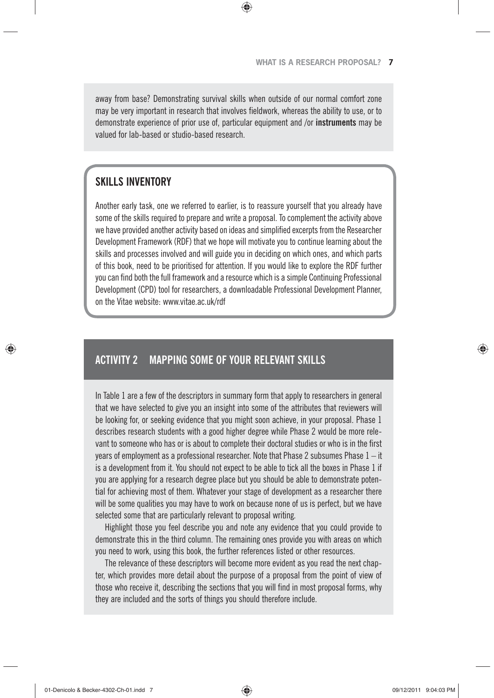away from base? Demonstrating survival skills when outside of our normal comfort zone may be very important in research that involves fieldwork, whereas the ability to use, or to demonstrate experience of prior use of, particular equipment and /or **instruments** may be valued for lab-based or studio-based research.

◈

# **SKILLS INVENTORY**

◈

Another early task, one we referred to earlier, is to reassure yourself that you already have some of the skills required to prepare and write a proposal. To complement the activity above we have provided another activity based on ideas and simplified excerpts from the Researcher Development Framework (RDF) that we hope will motivate you to continue learning about the skills and processes involved and will guide you in deciding on which ones, and which parts of this book, need to be prioritised for attention. If you would like to explore the RDF further you can find both the full framework and a resource which is a simple Continuing Professional Development (CPD) tool for researchers, a downloadable Professional Development Planner, on the Vitae website: www.vitae.ac.uk/rdf

# **ACTIVITY 2 MAPPING SOME OF YOUR RELEVANT SKILLS**

In Table 1 are a few of the descriptors in summary form that apply to researchers in general that we have selected to give you an insight into some of the attributes that reviewers will be looking for, or seeking evidence that you might soon achieve, in your proposal. Phase 1 describes research students with a good higher degree while Phase 2 would be more relevant to someone who has or is about to complete their doctoral studies or who is in the first years of employment as a professional researcher. Note that Phase 2 subsumes Phase  $1 - it$ is a development from it. You should not expect to be able to tick all the boxes in Phase 1 if you are applying for a research degree place but you should be able to demonstrate potential for achieving most of them. Whatever your stage of development as a researcher there will be some qualities you may have to work on because none of us is perfect, but we have selected some that are particularly relevant to proposal writing.

Highlight those you feel describe you and note any evidence that you could provide to demonstrate this in the third column. The remaining ones provide you with areas on which you need to work, using this book, the further references listed or other resources.

The relevance of these descriptors will become more evident as you read the next chapter, which provides more detail about the purpose of a proposal from the point of view of those who receive it, describing the sections that you will find in most proposal forms, why they are included and the sorts of things you should therefore include.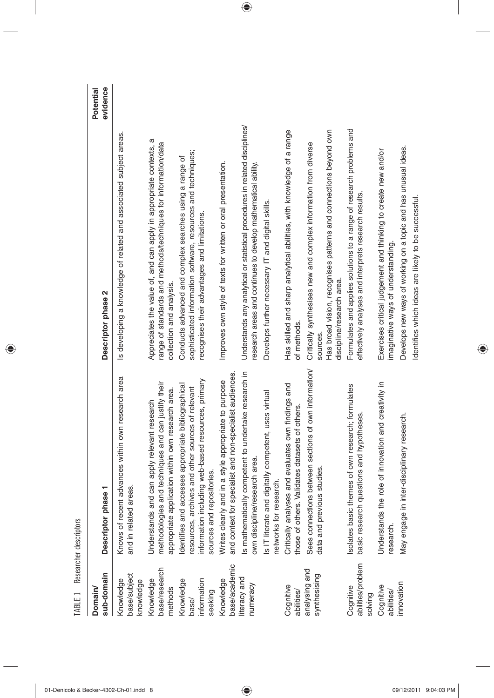| TABLE 1 Researcher descriptors               |                                                                                                                                                                                              |                                                                                                                                                                              |                       |
|----------------------------------------------|----------------------------------------------------------------------------------------------------------------------------------------------------------------------------------------------|------------------------------------------------------------------------------------------------------------------------------------------------------------------------------|-----------------------|
| sub-domain<br>Domain                         | Descriptor phase 1                                                                                                                                                                           | Descriptor phase 2                                                                                                                                                           | evidence<br>Potential |
| base/subject<br>Knowledge<br>knowledge       | Knows of recent advances within own research area<br>and in related areas.                                                                                                                   | Is developing a knowledge of related and associated subject areas.                                                                                                           |                       |
| base/research<br>Knowledge<br>methods        | methodologies and techniques and can justify their<br>appropriate application within own research area.<br>Understands and can apply relevant research                                       | Appreciates the value of, and can apply in appropriate contexts, a<br>range of standards and methods/techniques for information/data<br>collection and analysis.             |                       |
| information<br>Knowledge<br>seeking<br>base/ | resources, primary<br>dentifies and accesses appropriate bibliographical<br>esources, archives and other sources of relevant<br>information including web-based<br>sources and repositories. | sophisticated information software, resources and techniques;<br>Conducts advanced and complex searches using a range of<br>recognises their advantages and limitations.     |                       |
| base/academic<br>Knowledge                   | and context for specialist and non-specialist audiences.<br>Writes clearly and in a style appropriate to purpose                                                                             | Improves own style of texts for written or oral presentation.                                                                                                                |                       |
| literacy and<br>numeracy                     | undertake research in<br>is mathematically competent to<br>own discipline/research area.                                                                                                     | Understands any analytical or statistical procedures in related disciplines/<br>research areas and continues to develop mathematical ability.                                |                       |
|                                              | Is IT literate and digitally competent, uses virtual<br>networks for research.                                                                                                               | Develops further necessary IT and digital skills.                                                                                                                            |                       |
| Cognitive<br>abilities/                      | Critically analyses and evaluates own findings and<br>those of others. Validates datasets of others.                                                                                         | Has skilled and sharp analytical abilities, with knowledge of a range<br>of methods.                                                                                         |                       |
| analysing and<br>synthesising                | Sees connections between sections of own information/<br>data and previous studies                                                                                                           | Has broad vision, recognises patterns and connections beyond own<br>Critically synthesises new and complex information from diverse<br>discipline/research area.<br>sources. |                       |
| abilities/problem<br>Cognitive<br>solving    | solates basic themes of own research; formulates<br>basic research questions and hypotheses.                                                                                                 | Formulates and applies solutions to a range of research problems and<br>effectively analyses and interprets research results.                                                |                       |
| Cognitive<br>abilities/                      | Understands the role of innovation and creativity in<br>research.                                                                                                                            | Exercises critical judgement and thinking to create new and/or<br>imaginative ways of understanding.                                                                         |                       |
| innovation                                   | research.<br>May engage in inter-disciplinary                                                                                                                                                | Develops new ways of working on a topic and has unusual ideas.<br>Identifies which ideas are likely to be successful.                                                        |                       |
|                                              |                                                                                                                                                                                              |                                                                                                                                                                              |                       |

 $\bigoplus$ 

 $\overline{\phantom{a}}$ 

 $\bigoplus$ 

01-Denicolo & Becker-4302-Ch-01.indd 8 09/12/2011 9:04:03 PM

 $\overline{\phantom{a}}$ 

 $\bigoplus$